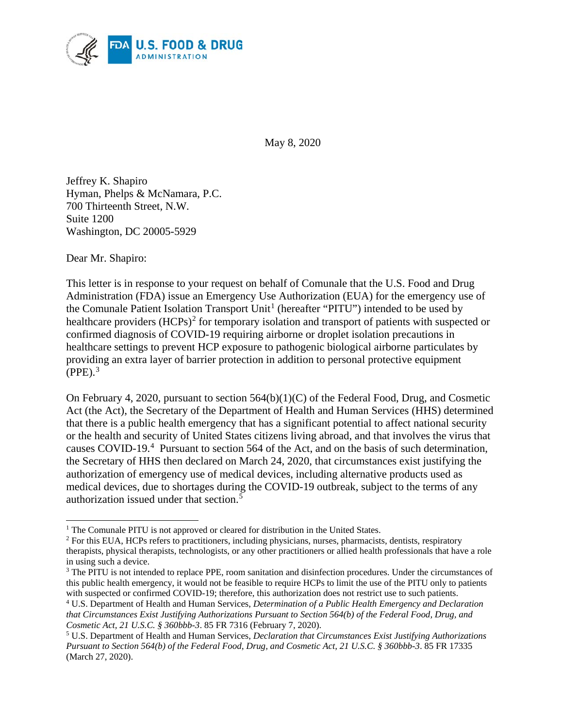

May 8, 2020

Jeffrey K. Shapiro Hyman, Phelps & McNamara, P.C. 700 Thirteenth Street, N.W. Suite 1200 Washington, DC 20005-5929

Dear Mr. Shapiro:

This letter is in response to your request on behalf of Comunale that the U.S. Food and Drug Administration (FDA) issue an Emergency Use Authorization (EUA) for the emergency use of the Comunale Patient Isolation Transport Unit<sup>[1](#page-0-0)</sup> (hereafter "PITU") intended to be used by healthcare providers (HCPs)<sup>[2](#page-0-1)</sup> for temporary isolation and transport of patients with suspected or confirmed diagnosis of COVID-19 requiring airborne or droplet isolation precautions in healthcare settings to prevent HCP exposure to pathogenic biological airborne particulates by providing an extra layer of barrier protection in addition to personal protective equipment  $(PPE).$ <sup>[3](#page-0-2)</sup>

On February 4, 2020, pursuant to section 564(b)(1)(C) of the Federal Food, Drug, and Cosmetic Act (the Act), the Secretary of the Department of Health and Human Services (HHS) determined that there is a public health emergency that has a significant potential to affect national security or the health and security of United States citizens living abroad, and that involves the virus that causes COVID-19.<sup>[4](#page-0-3)</sup> Pursuant to section 564 of the Act, and on the basis of such determination, the Secretary of HHS then declared on March 24, 2020, that circumstances exist justifying the authorization of emergency use of medical devices, including alternative products used as medical devices, due to shortages during the COVID-19 outbreak, subject to the terms of any authorization issued under that section.[5](#page-0-4)

<span id="page-0-1"></span><span id="page-0-0"></span><sup>&</sup>lt;sup>1</sup> The Comunale PITU is not approved or cleared for distribution in the United States.  $\frac{2}{1}$  For this EUA, HCPs refers to practitioners, including physicians, nurses, pharmacists, dentists, respiratory therapists, physical therapists, technologists, or any other practitioners or allied health professionals that have a role in using such a device.

<span id="page-0-2"></span><sup>&</sup>lt;sup>3</sup> The PITU is not intended to replace PPE, room sanitation and disinfection procedures. Under the circumstances of this public health emergency, it would not be feasible to require HCPs to limit the use of the PITU only to patients with suspected or confirmed COVID-19; therefore, this authorization does not restrict use to such patients.

<span id="page-0-3"></span><sup>4</sup> U.S. Department of Health and Human Services, *Determination of a Public Health Emergency and Declaration that Circumstances Exist Justifying Authorizations Pursuant to Section 564(b) of the Federal Food, Drug, and Cosmetic Act, 21 U.S.C. § 360bbb-3*. 85 FR 7316 (February 7, 2020).

<span id="page-0-4"></span><sup>5</sup> U.S. Department of Health and Human Services, *Declaration that Circumstances Exist Justifying Authorizations Pursuant to Section 564(b) of the Federal Food, Drug, and Cosmetic Act, 21 U.S.C. § 360bbb-3*. 85 FR 17335 (March 27, 2020).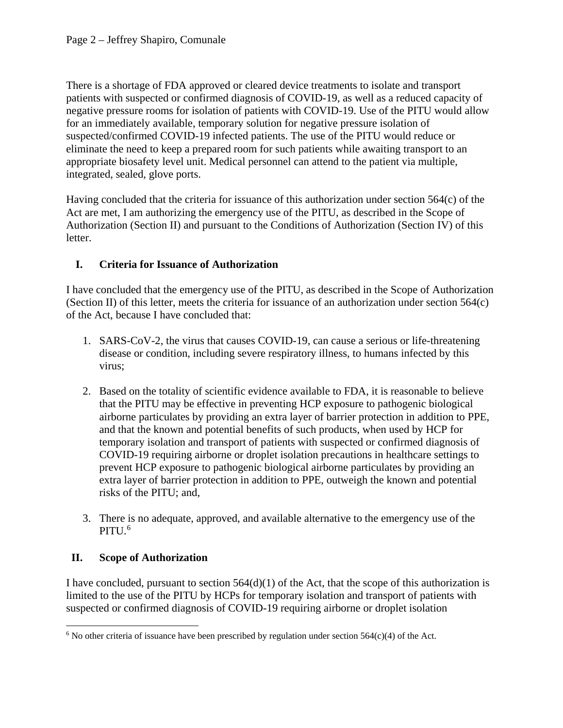There is a shortage of FDA approved or cleared device treatments to isolate and transport patients with suspected or confirmed diagnosis of COVID-19, as well as a reduced capacity of negative pressure rooms for isolation of patients with COVID-19. Use of the PITU would allow for an immediately available, temporary solution for negative pressure isolation of suspected/confirmed COVID-19 infected patients. The use of the PITU would reduce or eliminate the need to keep a prepared room for such patients while awaiting transport to an appropriate biosafety level unit. Medical personnel can attend to the patient via multiple, integrated, sealed, glove ports.

Having concluded that the criteria for issuance of this authorization under section 564(c) of the Act are met, I am authorizing the emergency use of the PITU, as described in the Scope of Authorization (Section [II\)](#page-1-0) and pursuant to the Conditions of Authorization (Section [IV\)](#page-3-0) of this letter.

## <span id="page-1-2"></span>**I. Criteria for Issuance of Authorization**

I have concluded that the emergency use of the PITU, as described in the Scope of Authorization (Section [II\)](#page-1-0) of this letter, meets the criteria for issuance of an authorization under section 564(c) of the Act, because I have concluded that:

- 1. SARS-CoV-2, the virus that causes COVID-19, can cause a serious or life-threatening disease or condition, including severe respiratory illness, to humans infected by this virus;
- 2. Based on the totality of scientific evidence available to FDA, it is reasonable to believe that the PITU may be effective in preventing HCP exposure to pathogenic biological airborne particulates by providing an extra layer of barrier protection in addition to PPE, and that the known and potential benefits of such products, when used by HCP for temporary isolation and transport of patients with suspected or confirmed diagnosis of COVID-19 requiring airborne or droplet isolation precautions in healthcare settings to prevent HCP exposure to pathogenic biological airborne particulates by providing an extra layer of barrier protection in addition to PPE, outweigh the known and potential risks of the PITU; and,
- 3. There is no adequate, approved, and available alternative to the emergency use of the PITU. [6](#page-1-1)

## <span id="page-1-0"></span>**II. Scope of Authorization**

I have concluded, pursuant to section  $564(d)(1)$  of the Act, that the scope of this authorization is limited to the use of the PITU by HCPs for temporary isolation and transport of patients with suspected or confirmed diagnosis of COVID-19 requiring airborne or droplet isolation

<span id="page-1-1"></span><sup>&</sup>lt;sup>6</sup> No other criteria of issuance have been prescribed by regulation under section  $564(c)(4)$  of the Act.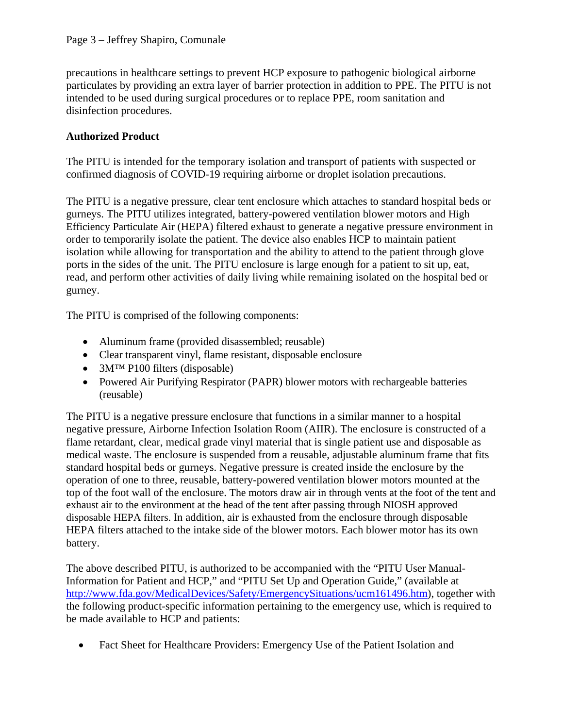precautions in healthcare settings to prevent HCP exposure to pathogenic biological airborne particulates by providing an extra layer of barrier protection in addition to PPE. The PITU is not intended to be used during surgical procedures or to replace PPE, room sanitation and disinfection procedures.

## **Authorized Product**

The PITU is intended for the temporary isolation and transport of patients with suspected or confirmed diagnosis of COVID-19 requiring airborne or droplet isolation precautions.

The PITU is a negative pressure, clear tent enclosure which attaches to standard hospital beds or gurneys. The PITU utilizes integrated, battery-powered ventilation blower motors and High Efficiency Particulate Air (HEPA) filtered exhaust to generate a negative pressure environment in order to temporarily isolate the patient. The device also enables HCP to maintain patient isolation while allowing for transportation and the ability to attend to the patient through glove ports in the sides of the unit. The PITU enclosure is large enough for a patient to sit up, eat, read, and perform other activities of daily living while remaining isolated on the hospital bed or gurney.

The PITU is comprised of the following components:

- Aluminum frame (provided disassembled; reusable)
- Clear transparent vinyl, flame resistant, disposable enclosure
- 3M<sup>TM</sup> P100 filters (disposable)
- Powered Air Purifying Respirator (PAPR) blower motors with rechargeable batteries (reusable)

The PITU is a negative pressure enclosure that functions in a similar manner to a hospital negative pressure, Airborne Infection Isolation Room (AIIR). The enclosure is constructed of a flame retardant, clear, medical grade vinyl material that is single patient use and disposable as medical waste. The enclosure is suspended from a reusable, adjustable aluminum frame that fits standard hospital beds or gurneys. Negative pressure is created inside the enclosure by the operation of one to three, reusable, battery-powered ventilation blower motors mounted at the top of the foot wall of the enclosure. The motors draw air in through vents at the foot of the tent and exhaust air to the environment at the head of the tent after passing through NIOSH approved disposable HEPA filters. In addition, air is exhausted from the enclosure through disposable HEPA filters attached to the intake side of the blower motors. Each blower motor has its own battery.

The above described PITU, is authorized to be accompanied with the "PITU User Manual-Information for Patient and HCP," and "PITU Set Up and Operation Guide," (available at [http://www.fda.gov/MedicalDevices/Safety/EmergencySituations/ucm161496.htm\)](http://www.fda.gov/MedicalDevices/Safety/EmergencySituations/ucm161496.htm), together with the following product-specific information pertaining to the emergency use, which is required to be made available to HCP and patients:

• Fact Sheet for Healthcare Providers: Emergency Use of the Patient Isolation and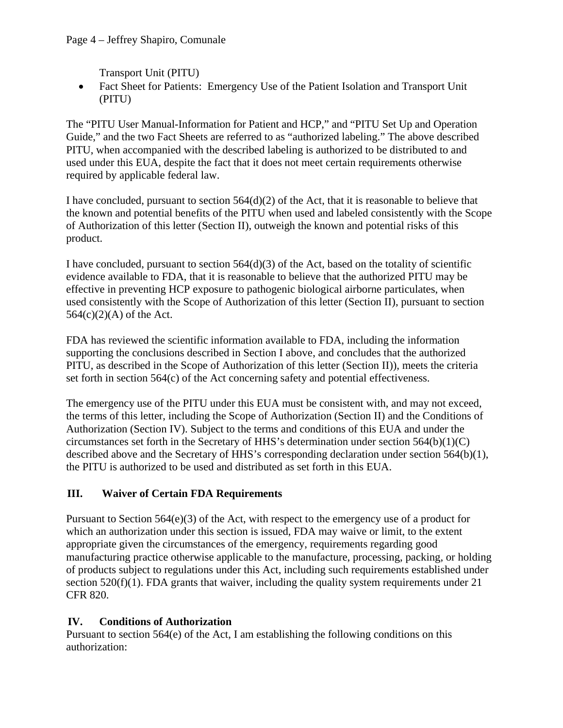Transport Unit (PITU)

• Fact Sheet for Patients: Emergency Use of the Patient Isolation and Transport Unit (PITU)

The "PITU User Manual-Information for Patient and HCP," and "PITU Set Up and Operation Guide," and the two Fact Sheets are referred to as "authorized labeling." The above described PITU, when accompanied with the described labeling is authorized to be distributed to and used under this EUA, despite the fact that it does not meet certain requirements otherwise required by applicable federal law.

I have concluded, pursuant to section  $564(d)(2)$  of the Act, that it is reasonable to believe that the known and potential benefits of the PITU when used and labeled consistently with the Scope of Authorization of this letter (Section [II\)](#page-1-0), outweigh the known and potential risks of this product.

I have concluded, pursuant to section 564(d)(3) of the Act, based on the totality of scientific evidence available to FDA, that it is reasonable to believe that the authorized PITU may be effective in preventing HCP exposure to pathogenic biological airborne particulates, when used consistently with the Scope of Authorization of this letter (Section [II\)](#page-1-0), pursuant to section 564(c)(2)(A) of the Act.

FDA has reviewed the scientific information available to FDA, including the information supporting the conclusions described in Section [I above,](#page-1-2) and concludes that the authorized PITU, as described in the Scope of Authorization of this letter (Section [II\)](#page-1-0)), meets the criteria set forth in section 564(c) of the Act concerning safety and potential effectiveness.

The emergency use of the PITU under this EUA must be consistent with, and may not exceed, the terms of this letter, including the Scope of Authorization (Section [II\)](#page-1-0) and the Conditions of Authorization (Section [IV\)](#page-3-0). Subject to the terms and conditions of this EUA and under the circumstances set forth in the Secretary of HHS's determination under section 564(b)(1)(C) described above and the Secretary of HHS's corresponding declaration under section 564(b)(1), the PITU is authorized to be used and distributed as set forth in this EUA.

# **III. Waiver of Certain FDA Requirements**

Pursuant to Section  $564(e)(3)$  of the Act, with respect to the emergency use of a product for which an authorization under this section is issued, FDA may waive or limit, to the extent appropriate given the circumstances of the emergency, requirements regarding good manufacturing practice otherwise applicable to the manufacture, processing, packing, or holding of products subject to regulations under this Act, including such requirements established under section 520(f)(1). FDA grants that waiver, including the quality system requirements under 21 CFR 820.

## <span id="page-3-0"></span>**IV. Conditions of Authorization**

Pursuant to section  $564(e)$  of the Act, I am establishing the following conditions on this authorization: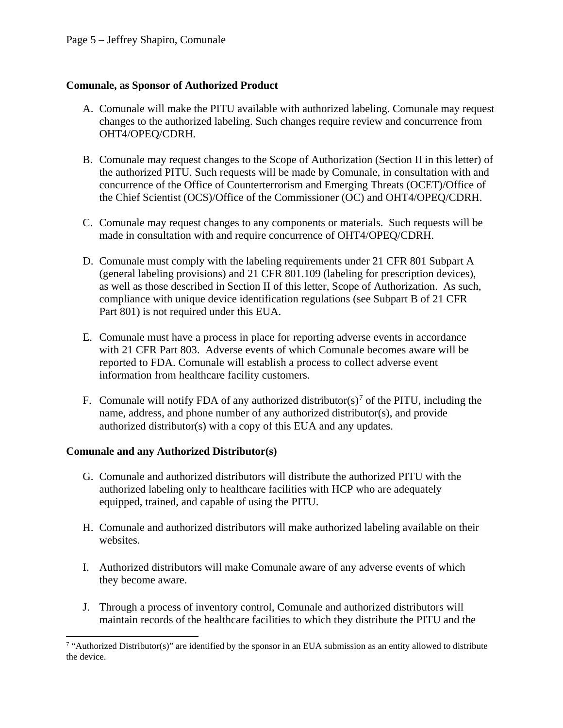## **Comunale, as Sponsor of Authorized Product**

- A. Comunale will make the PITU available with authorized labeling. Comunale may request changes to the authorized labeling. Such changes require review and concurrence from OHT4/OPEQ/CDRH.
- B. Comunale may request changes to the Scope of Authorization (Section II in this letter) of the authorized PITU. Such requests will be made by Comunale, in consultation with and concurrence of the Office of Counterterrorism and Emerging Threats (OCET)/Office of the Chief Scientist (OCS)/Office of the Commissioner (OC) and OHT4/OPEQ/CDRH.
- C. Comunale may request changes to any components or materials. Such requests will be made in consultation with and require concurrence of OHT4/OPEQ/CDRH.
- D. Comunale must comply with the labeling requirements under 21 CFR 801 Subpart A (general labeling provisions) and 21 CFR 801.109 (labeling for prescription devices), as well as those described in Section II of this letter, Scope of Authorization. As such, compliance with unique device identification regulations (see Subpart B of 21 CFR Part 801) is not required under this EUA.
- E. Comunale must have a process in place for reporting adverse events in accordance with 21 CFR Part 803. Adverse events of which Comunale becomes aware will be reported to FDA. Comunale will establish a process to collect adverse event information from healthcare facility customers.
- F. Comunale will notify FDA of any authorized distributor(s)<sup>[7](#page-4-0)</sup> of the PITU, including the name, address, and phone number of any authorized distributor(s), and provide authorized distributor(s) with a copy of this EUA and any updates.

## **Comunale and any Authorized Distributor(s)**

- G. Comunale and authorized distributors will distribute the authorized PITU with the authorized labeling only to healthcare facilities with HCP who are adequately equipped, trained, and capable of using the PITU.
- H. Comunale and authorized distributors will make authorized labeling available on their websites.
- I. Authorized distributors will make Comunale aware of any adverse events of which they become aware.
- J. Through a process of inventory control, Comunale and authorized distributors will maintain records of the healthcare facilities to which they distribute the PITU and the

<span id="page-4-0"></span><sup>&</sup>lt;sup>7</sup> "Authorized Distributor(s)" are identified by the sponsor in an EUA submission as an entity allowed to distribute the device.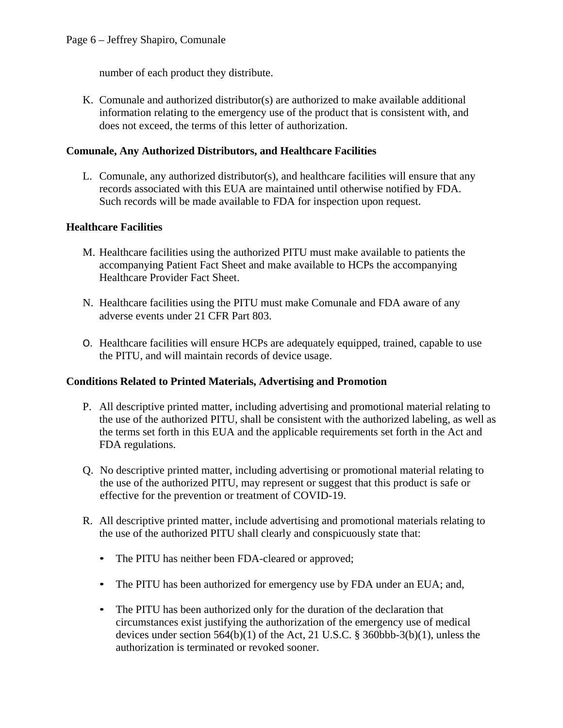number of each product they distribute.

K. Comunale and authorized distributor(s) are authorized to make available additional information relating to the emergency use of the product that is consistent with, and does not exceed, the terms of this letter of authorization.

#### **Comunale, Any Authorized Distributors, and Healthcare Facilities**

L. Comunale, any authorized distributor(s), and healthcare facilities will ensure that any records associated with this EUA are maintained until otherwise notified by FDA. Such records will be made available to FDA for inspection upon request.

#### **Healthcare Facilities**

- M. Healthcare facilities using the authorized PITU must make available to patients the accompanying Patient Fact Sheet and make available to HCPs the accompanying Healthcare Provider Fact Sheet.
- N. Healthcare facilities using the PITU must make Comunale and FDA aware of any adverse events under 21 CFR Part 803.
- O. Healthcare facilities will ensure HCPs are adequately equipped, trained, capable to use the PITU, and will maintain records of device usage.

#### **Conditions Related to Printed Materials, Advertising and Promotion**

- P. All descriptive printed matter, including advertising and promotional material relating to the use of the authorized PITU, shall be consistent with the authorized labeling, as well as the terms set forth in this EUA and the applicable requirements set forth in the Act and FDA regulations.
- Q. No descriptive printed matter, including advertising or promotional material relating to the use of the authorized PITU, may represent or suggest that this product is safe or effective for the prevention or treatment of COVID-19.
- R. All descriptive printed matter, include advertising and promotional materials relating to the use of the authorized PITU shall clearly and conspicuously state that:
	- The PITU has neither been FDA-cleared or approved;
	- The PITU has been authorized for emergency use by FDA under an EUA; and,
	- The PITU has been authorized only for the duration of the declaration that circumstances exist justifying the authorization of the emergency use of medical devices under section  $564(b)(1)$  of the Act, 21 U.S.C. § 360bbb-3(b)(1), unless the authorization is terminated or revoked sooner.